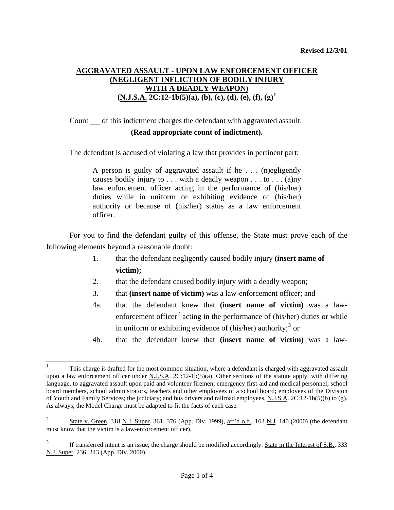# **AGGRAVATED ASSAULT - UPON LAW ENFORCEMENT OFFICER (NEGLIGENT INFLICTION OF BODILY INJURY WITH A DEADLY WEAPON) (N.J.S.A. 2C:12-1b(5)(a), (b), (c), (d), (e), (f), (g)[1](#page-0-0)**

Count of this indictment charges the defendant with aggravated assault.

## **(Read appropriate count of indictment).**

The defendant is accused of violating a law that provides in pertinent part:

A person is guilty of aggravated assault if he . . . (n)egligently causes bodily injury to  $\ldots$  with a deadly weapon  $\ldots$  to  $\ldots$  (a)ny law enforcement officer acting in the performance of (his/her) duties while in uniform or exhibiting evidence of (his/her) authority or because of (his/her) status as a law enforcement officer.

 For you to find the defendant guilty of this offense, the State must prove each of the following elements beyond a reasonable doubt:

- 1. that the defendant negligently caused bodily injury **(insert name of victim);**
- 2. that the defendant caused bodily injury with a deadly weapon;
- 3. that **(insert name of victim)** was a law-enforcement officer; and
- 4a. that the defendant knew that **(insert name of victim)** was a law-enforcement officer<sup>[2](#page-0-1)</sup> acting in the performance of (his/her) duties or while in uniform or exhibiting evidence of (his/her) authority;<sup>[3](#page-0-2)</sup> or
- 4b. that the defendant knew that **(insert name of victim)** was a law-

 $\overline{\phantom{a}}$ 

<span id="page-0-0"></span><sup>1</sup> This charge is drafted for the most common situation, where a defendant is charged with aggravated assault upon a law enforcement officer under N.J.S.A. 2C:12-1b(5)(a). Other sections of the statute apply, with differing language, to aggravated assault upon paid and volunteer firemen; emergency first-aid and medical personnel; school board members, school administrators, teachers and other employees of a school board; employees of the Division of Youth and Family Services; the judiciary; and bus drivers and railroad employees. N.J.S.A. 2C:12-1b(5)(b) to (g). As always, the Model Charge must be adapted to fit the facts of each case.

<span id="page-0-3"></span><span id="page-0-1"></span><sup>2</sup> State v. Green, 318 N.J. Super. 361, 376 (App. Div. 1999), aff'd o.b., 163 N.J. 140 (2000) (the defendant must know that the victim is a law-enforcement officer).

<span id="page-0-2"></span><sup>3</sup> If transferred intent is an issue, the charge should be modified accordingly. State in the Interest of S.B., 333 N.J. Super. 236, 243 (App. Div. 2000).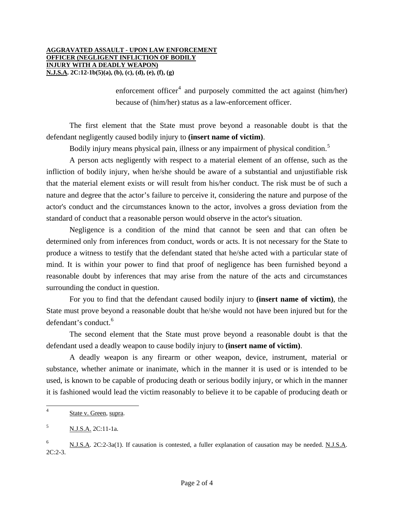#### **AGGRAVATED ASSAULT - UPON LAW ENFORCEMENT OFFICER (NEGLIGENT INFLICTION OF BODILY INJURY WITH A DEADLY WEAPON) N.J.S.A. 2C:12-1b(5)(a), (b), (c), (d), (e), (f), (g)**

enforcement officer<sup>[4](#page-0-3)</sup> and purposely committed the act against (him/her) because of (him/her) status as a law-enforcement officer.

 The first element that the State must prove beyond a reasonable doubt is that the defendant negligently caused bodily injury to **(insert name of victim)**.

Bodily injury means physical pain, illness or any impairment of physical condition.<sup>[5](#page-1-0)</sup>

 A person acts negligently with respect to a material element of an offense, such as the infliction of bodily injury, when he/she should be aware of a substantial and unjustifiable risk that the material element exists or will result from his/her conduct. The risk must be of such a nature and degree that the actor's failure to perceive it, considering the nature and purpose of the actor's conduct and the circumstances known to the actor, involves a gross deviation from the standard of conduct that a reasonable person would observe in the actor's situation.

 Negligence is a condition of the mind that cannot be seen and that can often be determined only from inferences from conduct, words or acts. It is not necessary for the State to produce a witness to testify that the defendant stated that he/she acted with a particular state of mind. It is within your power to find that proof of negligence has been furnished beyond a reasonable doubt by inferences that may arise from the nature of the acts and circumstances surrounding the conduct in question.

 For you to find that the defendant caused bodily injury to **(insert name of victim)**, the State must prove beyond a reasonable doubt that he/she would not have been injured but for the defendant's conduct.<sup>[6](#page-1-1)</sup>

 The second element that the State must prove beyond a reasonable doubt is that the defendant used a deadly weapon to cause bodily injury to **(insert name of victim)**.

 A deadly weapon is any firearm or other weapon, device, instrument, material or substance, whether animate or inanimate, which in the manner it is used or is intended to be used, is known to be capable of producing death or serious bodily injury, or which in the manner it is fashioned would lead the victim reasonably to believe it to be capable of producing death or

<span id="page-1-2"></span> $\frac{1}{4}$ State v. Green, supra.

<span id="page-1-0"></span><sup>5</sup> N.J.S.A. 2C:11-1a.

<span id="page-1-1"></span><sup>6</sup> N.J.S.A. 2C:2-3a(1). If causation is contested, a fuller explanation of causation may be needed. N.J.S.A.  $2C:2-3.$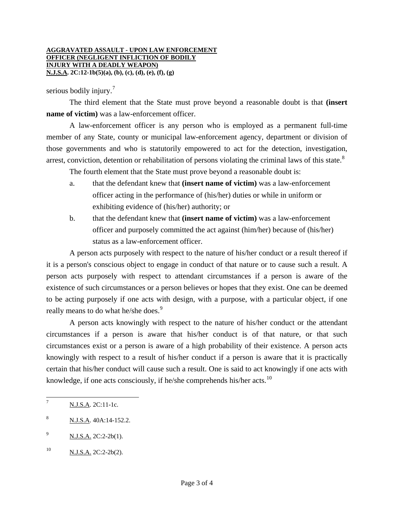#### **AGGRAVATED ASSAULT - UPON LAW ENFORCEMENT OFFICER (NEGLIGENT INFLICTION OF BODILY INJURY WITH A DEADLY WEAPON) N.J.S.A. 2C:12-1b(5)(a), (b), (c), (d), (e), (f), (g)**

serious bodily injury. $\frac{7}{7}$  $\frac{7}{7}$  $\frac{7}{7}$ 

 The third element that the State must prove beyond a reasonable doubt is that **(insert name of victim**) was a law-enforcement officer.

 A law-enforcement officer is any person who is employed as a permanent full-time member of any State, county or municipal law-enforcement agency, department or division of those governments and who is statutorily empowered to act for the detection, investigation, arrest, conviction, detention or rehabilitation of persons violating the criminal laws of this state.<sup>[8](#page-2-0)</sup>

The fourth element that the State must prove beyond a reasonable doubt is:

- a. that the defendant knew that **(insert name of victim)** was a law-enforcement officer acting in the performance of (his/her) duties or while in uniform or exhibiting evidence of (his/her) authority; or
- b. that the defendant knew that **(insert name of victim)** was a law-enforcement officer and purposely committed the act against (him/her) because of (his/her) status as a law-enforcement officer.

 A person acts purposely with respect to the nature of his/her conduct or a result thereof if it is a person's conscious object to engage in conduct of that nature or to cause such a result. A person acts purposely with respect to attendant circumstances if a person is aware of the existence of such circumstances or a person believes or hopes that they exist. One can be deemed to be acting purposely if one acts with design, with a purpose, with a particular object, if one really means to do what he/she does.<sup>[9](#page-2-1)</sup>

 A person acts knowingly with respect to the nature of his/her conduct or the attendant circumstances if a person is aware that his/her conduct is of that nature, or that such circumstances exist or a person is aware of a high probability of their existence. A person acts knowingly with respect to a result of his/her conduct if a person is aware that it is practically certain that his/her conduct will cause such a result. One is said to act knowingly if one acts with knowledge, if one acts consciously, if he/she comprehends his/her acts. $10$ 

 $\overline{\phantom{a}}$ 

<sup>7</sup> N.J.S.A. 2C:11-1c.

<span id="page-2-0"></span><sup>8</sup> N.J.S.A. 40A:14-152.2.

<span id="page-2-1"></span><sup>9</sup> N.J.S.A. 2C:2-2b(1).

<span id="page-2-3"></span><span id="page-2-2"></span> $^{10}$  N.J.S.A. 2C:2-2b(2).